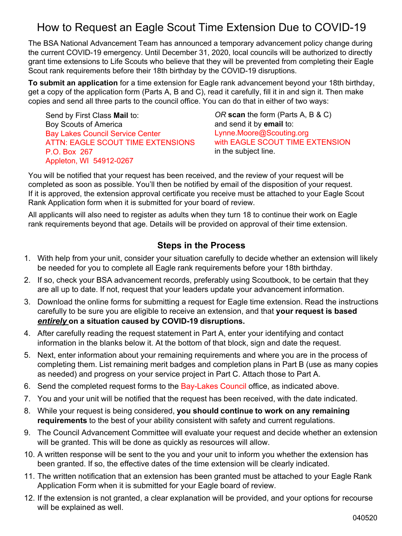## How to Request an Eagle Scout Time Extension Due to COVID-19

The BSA National Advancement Team has announced a temporary advancement policy change during the current COVID-19 emergency. Until December 31, 2020, local councils will be authorized to directly grant time extensions to Life Scouts who believe that they will be prevented from completing their Eagle Scout rank requirements before their 18th birthday by the COVID-19 disruptions.

**To submit an application** for a time extension for Eagle rank advancement beyond your 18th birthday, get a copy of the application form (Parts A, B and C), read it carefully, fill it in and sign it. Then make copies and send all three parts to the council office. You can do that in either of two ways:

Send by First Class **Mail** to: Boy Scouts of America Bay Lakes Council Service Center ATTN: EAGLE SCOUT TIME EXTENSIONS P.O. Box 267 Appleton, WI 54912-0267

*OR* **scan** the form (Parts A, B & C) and send it by **email** to: Lynne.Moore@Scouting.org with EAGLE SCOUT TIME EXTENSION in the subject line.

You will be notified that your request has been received, and the review of your request will be completed as soon as possible. You'll then be notified by email of the disposition of your request. If it is approved, the extension approval certificate you receive must be attached to your Eagle Scout Rank Application form when it is submitted for your board of review.

All applicants will also need to register as adults when they turn 18 to continue their work on Eagle rank requirements beyond that age. Details will be provided on approval of their time extension.

## **Steps in the Process**

- 1. With help from your unit, consider your situation carefully to decide whether an extension will likely be needed for you to complete all Eagle rank requirements before your 18th birthday.
- 2. If so, check your BSA advancement records, preferably using Scoutbook, to be certain that they are all up to date. If not, request that your leaders update your advancement information.
- 3. Download the online forms for submitting a request for Eagle time extension. Read the instructions carefully to be sure you are eligible to receive an extension, and that **your request is based** *entirely* **on a situation caused by COVID-19 disruptions.**
- 4. After carefully reading the request statement in Part A, enter your identifying and contact information in the blanks below it. At the bottom of that block, sign and date the request.
- 5. Next, enter information about your remaining requirements and where you are in the process of completing them. List remaining merit badges and completion plans in Part B (use as many copies as needed) and progress on your service project in Part C. Attach those to Part A.
- 6. Send the completed request forms to the Bay-Lakes Council office, as indicated above.
- 7. You and your unit will be notified that the request has been received, with the date indicated.
- 8. While your request is being considered, **you should continue to work on any remaining requirements** to the best of your ability consistent with safety and current regulations.
- 9. The Council Advancement Committee will evaluate your request and decide whether an extension will be granted. This will be done as quickly as resources will allow.
- 10. A written response will be sent to the you and your unit to inform you whether the extension has been granted. If so, the effective dates of the time extension will be clearly indicated.
- 11. The written notification that an extension has been granted must be attached to your Eagle Rank Application Form when it is submitted for your Eagle board of review.
- 12. If the extension is not granted, a clear explanation will be provided, and your options for recourse will be explained as well.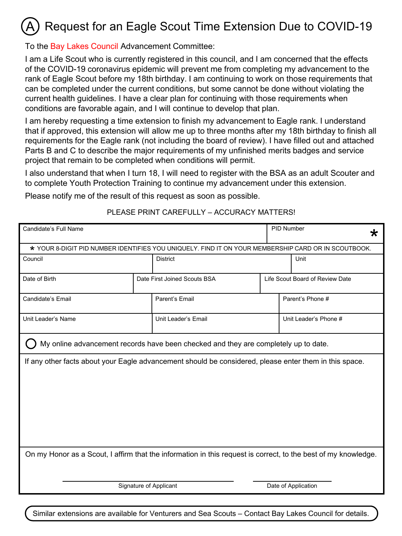#### Request for an Eagle Scout Time Extension Due to COVID-19 A

To the Bay Lakes Council Advancement Committee:

I am a Life Scout who is currently registered in this council, and I am concerned that the effects of the COVID-19 coronavirus epidemic will prevent me from completing my advancement to the rank of Eagle Scout before my 18th birthday. I am continuing to work on those requirements that can be completed under the current conditions, but some cannot be done without violating the current health guidelines. I have a clear plan for continuing with those requirements when conditions are favorable again, and I will continue to develop that plan.

I am hereby requesting a time extension to finish my advancement to Eagle rank. I understand that if approved, this extension will allow me up to three months after my 18th birthday to finish all requirements for the Eagle rank (not including the board of review). I have filled out and attached Parts B and C to describe the major requirements of my unfinished merits badges and service project that remain to be completed when conditions will permit.

I also understand that when I turn 18, I will need to register with the BSA as an adult Scouter and to complete Youth Protection Training to continue my advancement under this extension.

Please notify me of the result of this request as soon as possible.

#### PLEASE PRINT CAREFULLY – ACCURACY MATTERS!

| Candidate's Full Name                                                                                          |  |                                                                                                     |                  | PID Number<br>∗                 |                       |
|----------------------------------------------------------------------------------------------------------------|--|-----------------------------------------------------------------------------------------------------|------------------|---------------------------------|-----------------------|
|                                                                                                                |  | * YOUR 8-DIGIT PID NUMBER IDENTIFIES YOU UNIQUELY. FIND IT ON YOUR MEMBERSHIP CARD OR IN SCOUTBOOK. |                  |                                 |                       |
| Council                                                                                                        |  | <b>District</b>                                                                                     |                  |                                 | Unit                  |
| Date of Birth                                                                                                  |  | Date First Joined Scouts BSA                                                                        |                  | Life Scout Board of Review Date |                       |
| Candidate's Email                                                                                              |  | Parent's Email                                                                                      | Parent's Phone # |                                 |                       |
| Unit Leader's Name                                                                                             |  | Unit Leader's Email                                                                                 |                  |                                 | Unit Leader's Phone # |
|                                                                                                                |  | My online advancement records have been checked and they are completely up to date.                 |                  |                                 |                       |
| If any other facts about your Eagle advancement should be considered, please enter them in this space.         |  |                                                                                                     |                  |                                 |                       |
| On my Honor as a Scout, I affirm that the information in this request is correct, to the best of my knowledge. |  |                                                                                                     |                  |                                 |                       |
| Signature of Applicant                                                                                         |  |                                                                                                     |                  | Date of Application             |                       |

Similar extensions are available for Venturers and Sea Scouts – Contact Bay Lakes Council for details.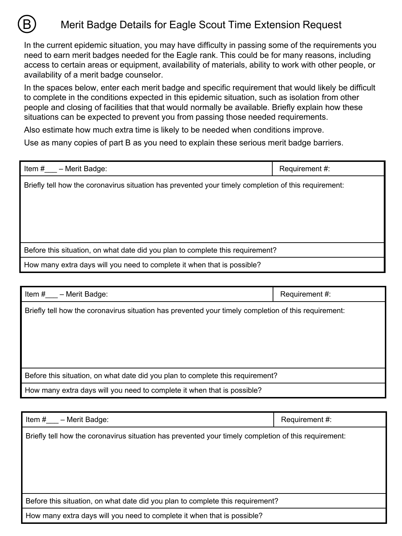

In the current epidemic situation, you may have difficulty in passing some of the requirements you need to earn merit badges needed for the Eagle rank. This could be for many reasons, including access to certain areas or equipment, availability of materials, ability to work with other people, or availability of a merit badge counselor.

In the spaces below, enter each merit badge and specific requirement that would likely be difficult to complete in the conditions expected in this epidemic situation, such as isolation from other people and closing of facilities that that would normally be available. Briefly explain how these situations can be expected to prevent you from passing those needed requirements.

Also estimate how much extra time is likely to be needed when conditions improve.

B

Use as many copies of part B as you need to explain these serious merit badge barriers.

| Item#<br>- Merit Badge:                                                                              | Requirement #: |
|------------------------------------------------------------------------------------------------------|----------------|
| Briefly tell how the coronavirus situation has prevented your timely completion of this requirement: |                |
| Before this situation, on what date did you plan to complete this requirement?                       |                |
| How many extra days will you need to complete it when that is possible?                              |                |

| - Merit Badge:<br>Item #                                                                             | Requirement #: |
|------------------------------------------------------------------------------------------------------|----------------|
| Briefly tell how the coronavirus situation has prevented your timely completion of this requirement: |                |
|                                                                                                      |                |
| Before this situation, on what date did you plan to complete this requirement?                       |                |
| How many extra days will you need to complete it when that is possible?                              |                |

| Item #<br>- Merit Badge:                                                                             | Requirement #: |
|------------------------------------------------------------------------------------------------------|----------------|
| Briefly tell how the coronavirus situation has prevented your timely completion of this requirement: |                |
| Before this situation, on what date did you plan to complete this requirement?                       |                |
| How many extra days will you need to complete it when that is possible?                              |                |
|                                                                                                      |                |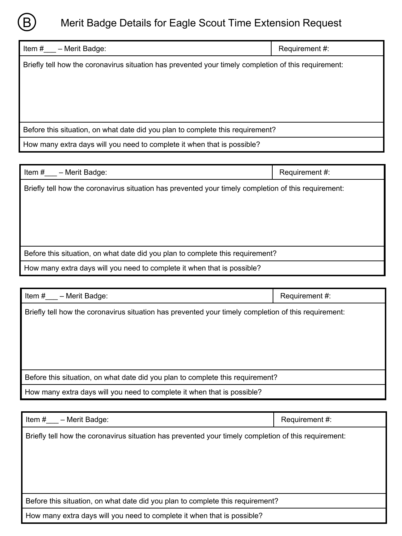

# Merit Badge Details for Eagle Scout Time Extension Request

| Item $#$<br>- Merit Badge:                                                                           | Requirement #: |  |
|------------------------------------------------------------------------------------------------------|----------------|--|
| Briefly tell how the coronavirus situation has prevented your timely completion of this requirement: |                |  |
|                                                                                                      |                |  |
|                                                                                                      |                |  |
|                                                                                                      |                |  |
| Before this situation, on what date did you plan to complete this requirement?                       |                |  |
| How many extra days will you need to complete it when that is possible?                              |                |  |
|                                                                                                      |                |  |

| - Merit Badge:<br>Item #                                                                             | Requirement #: |
|------------------------------------------------------------------------------------------------------|----------------|
| Briefly tell how the coronavirus situation has prevented your timely completion of this requirement: |                |
| Before this situation, on what date did you plan to complete this requirement?                       |                |
| How many extra days will you need to complete it when that is possible?                              |                |

| - Merit Badge:<br>Item #                                                                             | Requirement #: |  |
|------------------------------------------------------------------------------------------------------|----------------|--|
| Briefly tell how the coronavirus situation has prevented your timely completion of this requirement: |                |  |
|                                                                                                      |                |  |
|                                                                                                      |                |  |
|                                                                                                      |                |  |
|                                                                                                      |                |  |
| Before this situation, on what date did you plan to complete this requirement?                       |                |  |
| How many extra days will you need to complete it when that is possible?                              |                |  |

| - Merit Badge:<br>Item #                                                                             | Requirement #: |  |
|------------------------------------------------------------------------------------------------------|----------------|--|
| Briefly tell how the coronavirus situation has prevented your timely completion of this requirement: |                |  |
|                                                                                                      |                |  |
|                                                                                                      |                |  |
|                                                                                                      |                |  |
|                                                                                                      |                |  |
| Before this situation, on what date did you plan to complete this requirement?                       |                |  |
| How many extra days will you need to complete it when that is possible?                              |                |  |
|                                                                                                      |                |  |